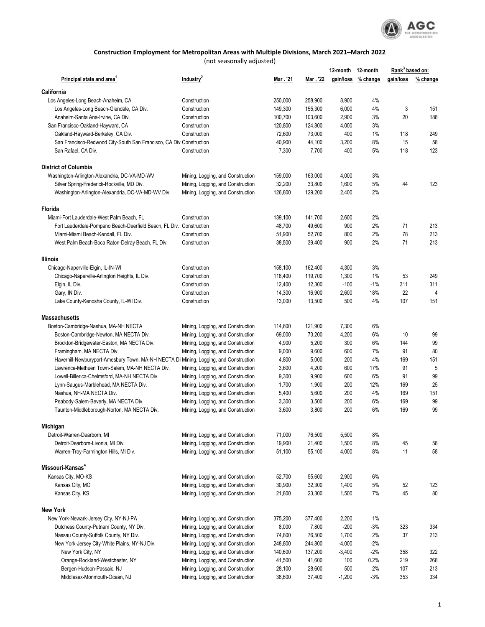

## **Construction Employment for Metropolitan Areas with Multiple Divisions, March 2021–March 2022**

(not seasonally adjusted)

|                                                                                                |                                                                        |                |                | 12-month 12-month |                    | Rank <sup>3</sup> based on: |          |
|------------------------------------------------------------------------------------------------|------------------------------------------------------------------------|----------------|----------------|-------------------|--------------------|-----------------------------|----------|
| Principal state and area <sup>1</sup>                                                          | Industry <sup>2</sup>                                                  | Mar . '21      | Mar . '22      |                   | gain/loss % change | gain/loss                   | % change |
| California                                                                                     |                                                                        |                |                |                   |                    |                             |          |
| Los Angeles-Long Beach-Anaheim, CA                                                             | Construction                                                           | 250,000        | 258,900        | 8,900             | 4%                 |                             |          |
| Los Angeles-Long Beach-Glendale, CA Div.                                                       | Construction                                                           | 149,300        | 155,300        | 6,000             | 4%                 | 3                           | 151      |
| Anaheim-Santa Ana-Irvine, CA Div.                                                              | Construction                                                           | 100,700        | 103,600        | 2,900             | 3%                 | 20                          | 188      |
| San Francisco-Oakland-Hayward, CA                                                              | Construction                                                           | 120,800        | 124,800        | 4,000             | 3%                 |                             |          |
| Oakland-Hayward-Berkeley, CA Div.                                                              | Construction                                                           | 72,600         | 73,000         | 400               | 1%                 | 118                         | 249      |
| San Francisco-Redwood City-South San Francisco, CA Div Construction                            |                                                                        | 40,900         | 44,100         | 3,200             | 8%                 | 15                          | 58       |
| San Rafael, CA Div.                                                                            | Construction                                                           | 7,300          | 7,700          | 400               | 5%                 | 118                         | 123      |
| <b>District of Columbia</b>                                                                    |                                                                        |                |                |                   |                    |                             |          |
| Washington-Arlington-Alexandria, DC-VA-MD-WV                                                   | Mining, Logging, and Construction                                      | 159,000        | 163,000        | 4,000             | 3%                 |                             |          |
| Silver Spring-Frederick-Rockville, MD Div.                                                     | Mining, Logging, and Construction                                      | 32,200         | 33,800         | 1,600             | 5%                 | 44                          | 123      |
| Washington-Arlington-Alexandria, DC-VA-MD-WV Div.                                              | Mining, Logging, and Construction                                      | 126,800        | 129,200        | 2,400             | 2%                 |                             |          |
| Florida                                                                                        |                                                                        |                |                |                   |                    |                             |          |
| Miami-Fort Lauderdale-West Palm Beach, FL                                                      | Construction                                                           | 139,100        | 141,700        | 2,600             | 2%                 |                             |          |
| Fort Lauderdale-Pompano Beach-Deerfield Beach, FL Div. Construction                            |                                                                        | 48,700         | 49,600         | 900               | 2%                 | 71                          | 213      |
| Miami-Miami Beach-Kendall, FL Div.                                                             | Construction                                                           | 51,900         | 52,700         | 800               | 2%                 | 78                          | 213      |
| West Palm Beach-Boca Raton-Delray Beach, FL Div.                                               | Construction                                                           | 38,500         | 39,400         | 900               | 2%                 | 71                          | 213      |
| <b>Illinois</b>                                                                                |                                                                        |                |                |                   |                    |                             |          |
| Chicago-Naperville-Elgin, IL-IN-WI                                                             | Construction                                                           | 158,100        | 162,400        | 4,300             | 3%                 |                             |          |
| Chicago-Naperville-Arlington Heights, IL Div.                                                  | Construction                                                           | 118,400        | 119,700        | 1,300             | 1%                 | 53                          | 249      |
| Elgin, IL Div.                                                                                 | Construction                                                           | 12,400         | 12,300         | $-100$            | -1%                | 311                         | 311      |
| Gary, IN Div.                                                                                  | Construction                                                           | 14,300         | 16,900         | 2,600             | 18%                | 22                          | 4        |
| Lake County-Kenosha County, IL-WI Div.                                                         | Construction                                                           | 13,000         | 13,500         | 500               | 4%                 | 107                         | 151      |
| <b>Massachusetts</b>                                                                           |                                                                        |                |                |                   |                    |                             |          |
| Boston-Cambridge-Nashua, MA-NH NECTA                                                           | Mining, Logging, and Construction                                      | 114,600        | 121,900        | 7,300             | 6%                 |                             |          |
| Boston-Cambridge-Newton, MA NECTA Div.                                                         | Mining, Logging, and Construction                                      | 69,000         | 73,200         | 4,200             | 6%                 | 10                          | 99       |
| Brockton-Bridgewater-Easton, MA NECTA Div.                                                     | Mining, Logging, and Construction                                      | 4,900          | 5,200          | 300               | 6%                 | 144                         | 99       |
| Framingham, MA NECTA Div.                                                                      | Mining, Logging, and Construction                                      | 9,000          | 9,600          | 600               | 7%<br>4%           | 91                          | 80       |
| Haverhill-Newburyport-Amesbury Town, MA-NH NECTA Di Mining, Logging, and Construction          |                                                                        | 4,800<br>3,600 | 5,000<br>4,200 | 200<br>600        | 17%                | 169<br>91                   | 151<br>5 |
| Lawrence-Methuen Town-Salem, MA-NH NECTA Div.<br>Lowell-Billerica-Chelmsford, MA-NH NECTA Div. | Mining, Logging, and Construction<br>Mining, Logging, and Construction | 9,300          | 9,900          | 600               | 6%                 | 91                          | 99       |
| Lynn-Saugus-Marblehead, MA NECTA Div.                                                          | Mining, Logging, and Construction                                      | 1,700          | 1,900          | 200               | 12%                | 169                         | 25       |
| Nashua, NH-MA NECTA Div.                                                                       | Mining, Logging, and Construction                                      | 5,400          | 5,600          | 200               | 4%                 | 169                         | 151      |
| Peabody-Salem-Beverly, MA NECTA Div.                                                           | Mining, Logging, and Construction                                      | 3,300          | 3,500          | 200               | 6%                 | 169                         | 99       |
| Taunton-Middleborough-Norton, MA NECTA Div.                                                    | Mining, Logging, and Construction                                      | 3,600          | 3,800          | 200               | 6%                 | 169                         | 99       |
| Michigan                                                                                       |                                                                        |                |                |                   |                    |                             |          |
| Detroit-Warren-Dearborn, MI                                                                    | Mining, Logging, and Construction                                      | 71,000         | 76,500         | 5,500             | 8%                 |                             |          |
| Detroit-Dearborn-Livonia, MI Div.                                                              | Mining, Logging, and Construction                                      | 19,900         | 21,400         | 1,500             | 8%                 | 45                          | 58       |
| Warren-Troy-Farmington Hills, MI Div.                                                          | Mining, Logging, and Construction                                      | 51,100         | 55,100         | 4,000             | 8%                 | 11                          | 58       |
| Missouri-Kansas <sup>4</sup>                                                                   |                                                                        |                |                |                   |                    |                             |          |
| Kansas City, MO-KS                                                                             | Mining, Logging, and Construction                                      | 52,700         | 55,600         | 2,900             | 6%                 |                             |          |
| Kansas City, MO                                                                                | Mining, Logging, and Construction                                      | 30,900         | 32,300         | 1,400             | 5%                 | 52                          | 123      |
| Kansas City, KS                                                                                | Mining, Logging, and Construction                                      | 21,800         | 23,300         | 1,500             | 7%                 | 45                          | 80       |
| <b>New York</b>                                                                                |                                                                        |                |                |                   |                    |                             |          |
| New York-Newark-Jersey City, NY-NJ-PA                                                          | Mining, Logging, and Construction                                      | 375,200        | 377,400        | 2,200             | 1%                 |                             |          |
| Dutchess County-Putnam County, NY Div.                                                         | Mining, Logging, and Construction                                      | 8,000          | 7,800          | $-200$            | $-3%$              | 323                         | 334      |
| Nassau County-Suffolk County, NY Div.                                                          | Mining, Logging, and Construction                                      | 74,800         | 76,500         | 1,700             | 2%                 | 37                          | 213      |
| New York-Jersey City-White Plains, NY-NJ Div.                                                  | Mining, Logging, and Construction                                      | 248,800        | 244,800        | $-4,000$          | -2%                |                             |          |
| New York City, NY                                                                              | Mining, Logging, and Construction                                      | 140,600        | 137,200        | $-3,400$          | $-2%$              | 358                         | 322      |
| Orange-Rockland-Westchester, NY                                                                | Mining, Logging, and Construction                                      | 41,500         | 41,600         | 100               | 0.2%               | 219                         | 268      |
| Bergen-Hudson-Passaic, NJ                                                                      | Mining, Logging, and Construction                                      | 28,100         | 28,600         | 500               | 2%                 | 107                         | 213      |
| Middlesex-Monmouth-Ocean, NJ                                                                   | Mining, Logging, and Construction                                      | 38,600         | 37,400         | $-1,200$          | $-3%$              | 353                         | 334      |